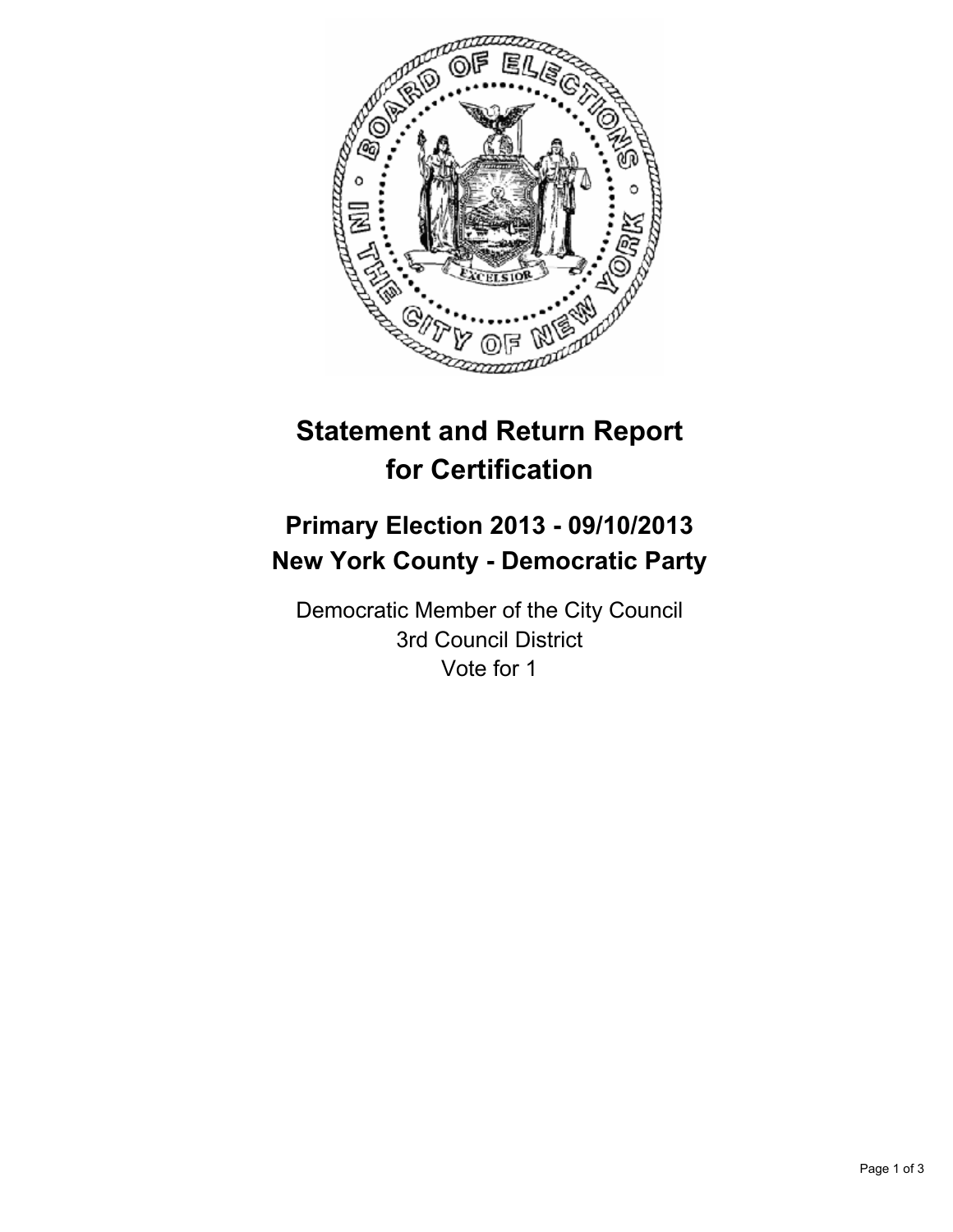

# **Statement and Return Report for Certification**

# **Primary Election 2013 - 09/10/2013 New York County - Democratic Party**

Democratic Member of the City Council 3rd Council District Vote for 1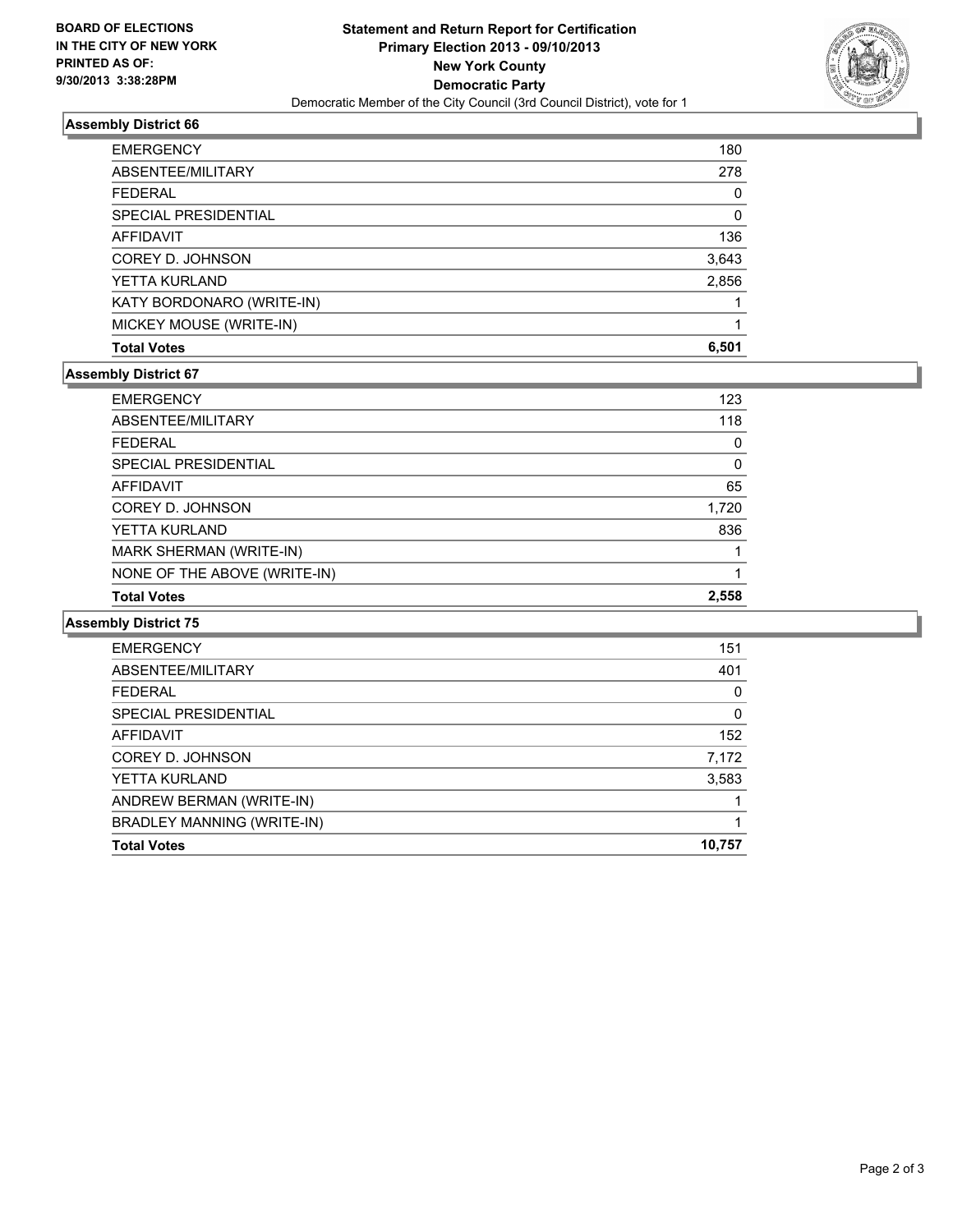

## **Assembly District 66**

| <b>Total Votes</b>          | 6.501 |
|-----------------------------|-------|
| MICKEY MOUSE (WRITE-IN)     |       |
| KATY BORDONARO (WRITE-IN)   |       |
| YETTA KURLAND               | 2,856 |
| COREY D. JOHNSON            | 3,643 |
| <b>AFFIDAVIT</b>            | 136   |
| <b>SPECIAL PRESIDENTIAL</b> | 0     |
| FFDFRAI                     | 0     |
| ABSENTEE/MILITARY           | 278   |
| <b>EMERGENCY</b>            | 180   |

### **Assembly District 67**

| <b>Total Votes</b>           | 2.558 |
|------------------------------|-------|
| NONE OF THE ABOVE (WRITE-IN) |       |
| MARK SHERMAN (WRITE-IN)      |       |
| YETTA KURLAND                | 836   |
| COREY D. JOHNSON             | 1,720 |
| <b>AFFIDAVIT</b>             | 65    |
| <b>SPECIAL PRESIDENTIAL</b>  | 0     |
| <b>FFDFRAL</b>               | 0     |
| ABSENTEE/MILITARY            | 118   |
| <b>EMERGENCY</b>             | 123   |

#### **Assembly District 75**

| <b>EMERGENCY</b>            | 151    |
|-----------------------------|--------|
| ABSENTEE/MILITARY           | 401    |
| <b>FFDFRAL</b>              | 0      |
| <b>SPECIAL PRESIDENTIAL</b> | 0      |
| <b>AFFIDAVIT</b>            | 152    |
| COREY D. JOHNSON            | 7,172  |
| YETTA KURLAND               | 3,583  |
| ANDREW BERMAN (WRITE-IN)    |        |
| BRADLEY MANNING (WRITE-IN)  |        |
| <b>Total Votes</b>          | 10,757 |
|                             |        |